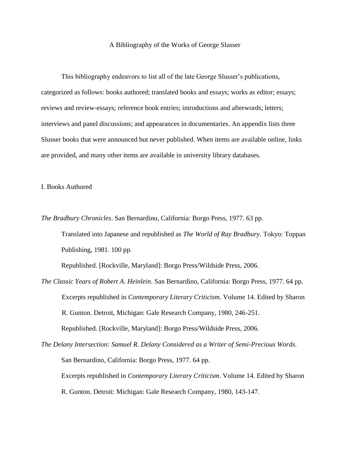## A Bibliography of the Works of George Slusser

This bibliography endeavors to list all of the late George Slusser's publications, categorized as follows: books authored; translated books and essays; works as editor; essays; reviews and review-essays; reference book entries; introductions and afterwords; letters; interviews and panel discussions; and appearances in documentaries. An appendix lists three Slusser books that were announced but never published. When items are available online, links are provided, and many other items are available in university library databases.

I. Books Authored

*The Bradbury Chronicles*. San Bernardino, California: Borgo Press, 1977. 63 pp.

Translated into Japanese and republished as *The World of Ray Bradbury*. Tokyo: Toppan Publishing, 1981. 100 pp.

Republished. [Rockville, Maryland]: Borgo Press/Wildside Press, 2006.

*The Classic Years of Robert A. Heinlein*. San Bernardino, California: Borgo Press, 1977. 64 pp. Excerpts republished in *Contemporary Literary Criticism*. Volume 14. Edited by Sharon R. Gunton. Detroit, Michigan: Gale Research Company, 1980, 246-251. Republished. [Rockville, Maryland]: Borgo Press/Wildside Press, 2006.

*The Delany Intersection: Samuel R. Delany Considered as a Writer of Semi-Precious Words*. San Bernardino, California: Borgo Press, 1977. 64 pp. Excerpts republished in *Contemporary Literary Criticism*. Volume 14. Edited by Sharon R. Gunton. Detroit: Michigan: Gale Research Company, 1980, 143-147.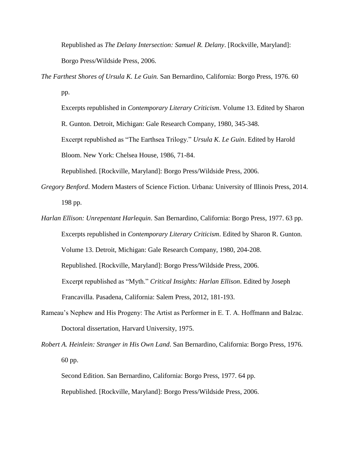Republished as *The Delany Intersection: Samuel R. Delany*. [Rockville, Maryland]: Borgo Press/Wildside Press, 2006.

*The Farthest Shores of Ursula K. Le Guin.* San Bernardino, California: Borgo Press, 1976. 60 pp.

Excerpts republished in *Contemporary Literary Criticism*. Volume 13. Edited by Sharon R. Gunton. Detroit, Michigan: Gale Research Company, 1980, 345-348. Excerpt republished as "The Earthsea Trilogy." *Ursula K. Le Guin*. Edited by Harold Bloom. New York: Chelsea House, 1986, 71-84.

Republished. [Rockville, Maryland]: Borgo Press/Wildside Press, 2006.

- *Gregory Benford*. Modern Masters of Science Fiction. Urbana: University of Illinois Press, 2014. 198 pp.
- *Harlan Ellison: Unrepentant Harlequin*. San Bernardino, California: Borgo Press, 1977. 63 pp. Excerpts republished in *Contemporary Literary Criticism*. Edited by Sharon R. Gunton. Volume 13. Detroit, Michigan: Gale Research Company, 1980, 204-208. Republished. [Rockville, Maryland]: Borgo Press/Wildside Press, 2006. Excerpt republished as "Myth." *Critical Insights: Harlan Ellison*. Edited by Joseph Francavilla. Pasadena, California: Salem Press, 2012, 181-193.
- Rameau's Nephew and His Progeny: The Artist as Performer in E. T. A. Hoffmann and Balzac. Doctoral dissertation, Harvard University, 1975.
- *Robert A. Heinlein: Stranger in His Own Land*. San Bernardino, California: Borgo Press, 1976. 60 pp.

Second Edition. San Bernardino, California: Borgo Press, 1977. 64 pp. Republished. [Rockville, Maryland]: Borgo Press/Wildside Press, 2006.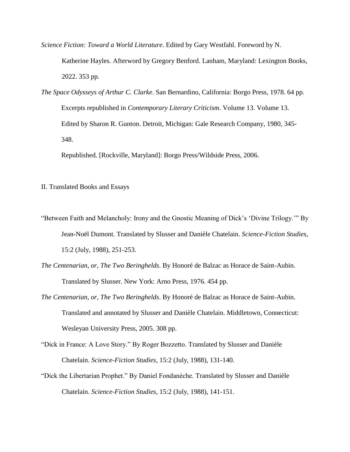*Science Fiction: Toward a World Literature*. Edited by Gary Westfahl. Foreword by N.

Katherine Hayles. Afterword by Gregory Benford. Lanham, Maryland: Lexington Books, 2022. 353 pp.

*The Space Odysseys of Arthur C. Clarke*. San Bernardino, California: Borgo Press, 1978. 64 pp. Excerpts republished in *Contemporary Literary Criticism*. Volume 13. Volume 13. Edited by Sharon R. Gunton. Detroit, Michigan: Gale Research Company, 1980, 345- 348.

Republished. [Rockville, Maryland]: Borgo Press/Wildside Press, 2006.

II. Translated Books and Essays

- "Between Faith and Melancholy: Irony and the Gnostic Meaning of Dick's 'Divine Trilogy.'" By Jean-Noël Dumont. Translated by Slusser and Danièle Chatelain. *Science-Fiction Studies*, 15:2 (July, 1988), 251-253.
- *The Centenarian, or, The Two Beringhelds*. By Honoré de Balzac as Horace de Saint-Aubin. Translated by Slusser. New York: Arno Press, 1976. 454 pp.
- *The Centenarian, or, The Two Beringhelds*. By Honoré de Balzac as Horace de Saint-Aubin. Translated and annotated by Slusser and Danièle Chatelain. Middletown, Connecticut: Wesleyan University Press, 2005. 308 pp.
- "Dick in France: A Love Story." By Roger Bozzetto. Translated by Slusser and Danièle Chatelain. *Science-Fiction Studies*, 15:2 (July, 1988), 131-140.
- "Dick the Libertarian Prophet." By Daniel Fondanèche. Translated by Slusser and Danièle Chatelain. *Science-Fiction Studies*, 15:2 (July, 1988), 141-151.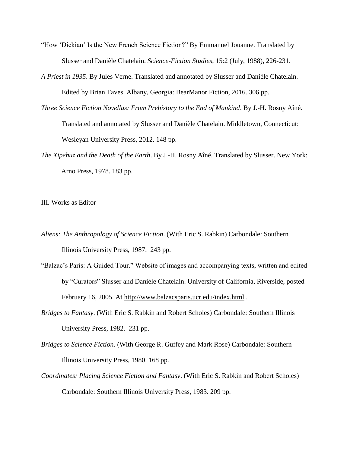- "How 'Dickian' Is the New French Science Fiction?" By Emmanuel Jouanne. Translated by Slusser and Danièle Chatelain. *Science-Fiction Studies*, 15:2 (July, 1988), 226-231.
- *A Priest in 1935*. By Jules Verne. Translated and annotated by Slusser and Danièle Chatelain. Edited by Brian Taves. Albany, Georgia: BearManor Fiction, 2016. 306 pp.
- *Three Science Fiction Novellas: From Prehistory to the End of Mankind*. By J.-H. Rosny Aîné. Translated and annotated by Slusser and Danièle Chatelain. Middletown, Connecticut: Wesleyan University Press, 2012. 148 pp.
- *The Xipehuz and the Death of the Earth*. By J.-H. Rosny Aîné. Translated by Slusser. New York: Arno Press, 1978. 183 pp.

III. Works as Editor

- *Aliens: The Anthropology of Science Fiction*. (With Eric S. Rabkin) Carbondale: Southern Illinois University Press, 1987. 243 pp.
- "Balzac's Paris: A Guided Tour." Website of images and accompanying texts, written and edited by "Curators" Slusser and Danièle Chatelain. University of California, Riverside, posted February 16, 2005. At<http://www.balzacsparis.ucr.edu/index.html>.
- *Bridges to Fantasy*. (With Eric S. Rabkin and Robert Scholes) Carbondale: Southern Illinois University Press, 1982. 231 pp.
- *Bridges to Science Fiction*. (With George R. Guffey and Mark Rose) Carbondale: Southern Illinois University Press, 1980. 168 pp.
- *Coordinates: Placing Science Fiction and Fantasy*. (With Eric S. Rabkin and Robert Scholes) Carbondale: Southern Illinois University Press, 1983. 209 pp.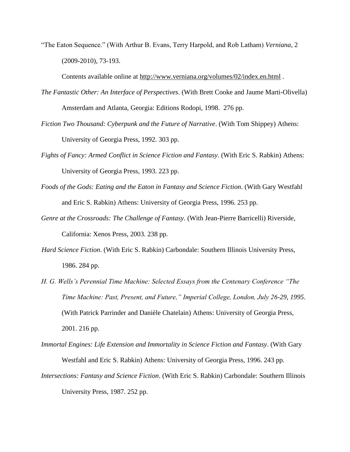"The Eaton Sequence." (With Arthur B. Evans, Terry Harpold, and Rob Latham) *Verniana*, 2 (2009-2010), 73-193.

Contents available online at<http://www.verniana.org/volumes/02/index.en.html>.

- *The Fantastic Other: An Interface of Perspectives*. (With Brett Cooke and Jaume Marti-Olivella) Amsterdam and Atlanta, Georgia: Editions Rodopi, 1998. 276 pp.
- *Fiction Two Thousand: Cyberpunk and the Future of Narrative*. (With Tom Shippey) Athens: University of Georgia Press, 1992. 303 pp.
- *Fights of Fancy: Armed Conflict in Science Fiction and Fantasy*. (With Eric S. Rabkin) Athens: University of Georgia Press, 1993. 223 pp.
- *Foods of the Gods: Eating and the Eaton in Fantasy and Science Fiction*. (With Gary Westfahl and Eric S. Rabkin) Athens: University of Georgia Press, 1996. 253 pp.
- *Genre at the Crossroads: The Challenge of Fantasy*. (With Jean-Pierre Barricelli) Riverside, California: Xenos Press, 2003. 238 pp.
- *Hard Science Fiction*. (With Eric S. Rabkin) Carbondale: Southern Illinois University Press, 1986. 284 pp.
- *H. G. Wells's Perennial Time Machine: Selected Essays from the Centenary Conference "The Time Machine: Past, Present, and Future," Imperial College, London, July 26-29, 1995*. (With Patrick Parrinder and Danièle Chatelain) Athens: University of Georgia Press, 2001. 216 pp.
- *Immortal Engines: Life Extension and Immortality in Science Fiction and Fantasy*. (With Gary Westfahl and Eric S. Rabkin) Athens: University of Georgia Press, 1996. 243 pp. *Intersections: Fantasy and Science Fiction*. (With Eric S. Rabkin) Carbondale: Southern Illinois

University Press, 1987. 252 pp.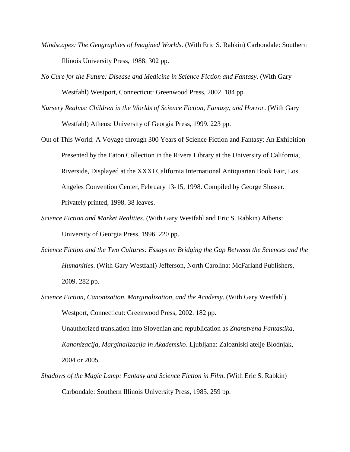- *Mindscapes: The Geographies of Imagined Worlds*. (With Eric S. Rabkin) Carbondale: Southern Illinois University Press, 1988. 302 pp.
- *No Cure for the Future: Disease and Medicine in Science Fiction and Fantasy*. (With Gary Westfahl) Westport, Connecticut: Greenwood Press, 2002. 184 pp.
- *Nursery Realms: Children in the Worlds of Science Fiction, Fantasy, and Horror*. (With Gary Westfahl) Athens: University of Georgia Press, 1999. 223 pp.
- Out of This World: A Voyage through 300 Years of Science Fiction and Fantasy: An Exhibition Presented by the Eaton Collection in the Rivera Library at the University of California, Riverside, Displayed at the XXXI California International Antiquarian Book Fair, Los Angeles Convention Center, February 13-15, 1998. Compiled by George Slusser. Privately printed, 1998. 38 leaves.
- *Science Fiction and Market Realities*. (With Gary Westfahl and Eric S. Rabkin) Athens: University of Georgia Press, 1996. 220 pp.
- *Science Fiction and the Two Cultures: Essays on Bridging the Gap Between the Sciences and the Humanities*. (With Gary Westfahl) Jefferson, North Carolina: McFarland Publishers, 2009. 282 pp.
- *Science Fiction, Canonization, Marginalization, and the Academy*. (With Gary Westfahl) Westport, Connecticut: Greenwood Press, 2002. 182 pp.

Unauthorized translation into Slovenian and republication as *Znanstvena Fantastika, Kanonizacija, Marginalizacija in Akademsko*. Ljubljana: Zalozniski atelje Blodnjak, 2004 or 2005.

*Shadows of the Magic Lamp: Fantasy and Science Fiction in Film*. (With Eric S. Rabkin) Carbondale: Southern Illinois University Press, 1985. 259 pp.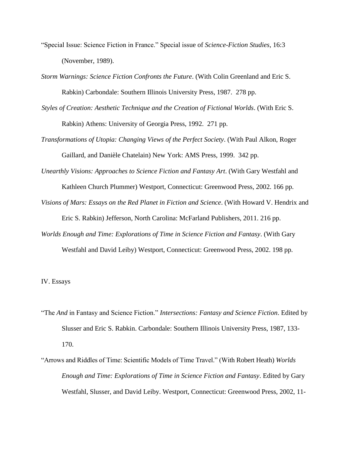- "Special Issue: Science Fiction in France." Special issue of *Science-Fiction Studies*, 16:3 (November, 1989).
- *Storm Warnings: Science Fiction Confronts the Future*. (With Colin Greenland and Eric S. Rabkin) Carbondale: Southern Illinois University Press, 1987. 278 pp.
- *Styles of Creation: Aesthetic Technique and the Creation of Fictional Worlds*. (With Eric S. Rabkin) Athens: University of Georgia Press, 1992. 271 pp.
- *Transformations of Utopia: Changing Views of the Perfect Society*. (With Paul Alkon, Roger Gaillard, and Danièle Chatelain) New York: AMS Press, 1999. 342 pp.
- *Unearthly Visions: Approaches to Science Fiction and Fantasy Art*. (With Gary Westfahl and

Kathleen Church Plummer) Westport, Connecticut: Greenwood Press, 2002. 166 pp.

- *Visions of Mars: Essays on the Red Planet in Fiction and Science*. (With Howard V. Hendrix and Eric S. Rabkin) Jefferson, North Carolina: McFarland Publishers, 2011. 216 pp.
- *Worlds Enough and Time: Explorations of Time in Science Fiction and Fantasy*. (With Gary Westfahl and David Leiby) Westport, Connecticut: Greenwood Press, 2002. 198 pp.

## IV. Essays

- "The *And* in Fantasy and Science Fiction." *Intersections: Fantasy and Science Fiction*. Edited by Slusser and Eric S. Rabkin. Carbondale: Southern Illinois University Press, 1987, 133- 170.
- "Arrows and Riddles of Time: Scientific Models of Time Travel." (With Robert Heath) *Worlds Enough and Time: Explorations of Time in Science Fiction and Fantasy*. Edited by Gary Westfahl, Slusser, and David Leiby. Westport, Connecticut: Greenwood Press, 2002, 11-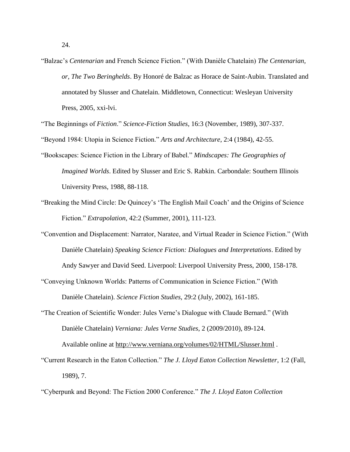- 24.
- "Balzac's *Centenarian* and French Science Fiction." (With Danièle Chatelain) *The Centenarian, or, The Two Beringhelds*. By Honoré de Balzac as Horace de Saint-Aubin. Translated and annotated by Slusser and Chatelain. Middletown, Connecticut: Wesleyan University Press, 2005, xxi-lvi.

"The Beginnings of *Fiction*." *Science-Fiction Studies*, 16:3 (November, 1989), 307-337.

"Beyond 1984: Utopia in Science Fiction." *Arts and Architecture*, 2:4 (1984), 42-55.

- "Bookscapes: Science Fiction in the Library of Babel." *Mindscapes: The Geographies of Imagined Worlds*. Edited by Slusser and Eric S. Rabkin. Carbondale: Southern Illinois University Press, 1988, 88-118.
- "Breaking the Mind Circle: De Quincey's 'The English Mail Coach' and the Origins of Science Fiction." *Extrapolation*, 42:2 (Summer, 2001), 111-123.
- "Convention and Displacement: Narrator, Naratee, and Virtual Reader in Science Fiction." (With Danièle Chatelain) *Speaking Science Fiction: Dialogues and Interpretations*. Edited by Andy Sawyer and David Seed. Liverpool: Liverpool University Press, 2000, 158-178.
- "Conveying Unknown Worlds: Patterns of Communication in Science Fiction." (With Danièle Chatelain). *Science Fiction Studies*, 29:2 (July, 2002), 161-185.
- "The Creation of Scientific Wonder: Jules Verne's Dialogue with Claude Bernard." (With Danièle Chatelain) *Verniana: Jules Verne Studies*, 2 (2009/2010), 89-124.

Available online at<http://www.verniana.org/volumes/02/HTML/Slusser.html> .

"Current Research in the Eaton Collection." *The J. Lloyd Eaton Collection Newsletter*, 1:2 (Fall, 1989), 7.

"Cyberpunk and Beyond: The Fiction 2000 Conference." *The J. Lloyd Eaton Collection*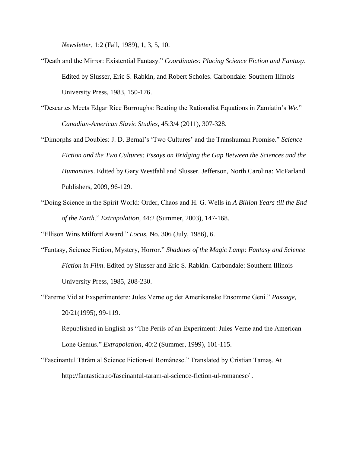*Newsletter*, 1:2 (Fall, 1989), 1, 3, 5, 10.

- "Death and the Mirror: Existential Fantasy." *Coordinates: Placing Science Fiction and Fantasy*. Edited by Slusser, Eric S. Rabkin, and Robert Scholes. Carbondale: Southern Illinois University Press, 1983, 150-176.
- "Descartes Meets Edgar Rice Burroughs: Beating the Rationalist Equations in Zamiatin's *We*." *Canadian-American Slavic Studies*, 45:3/4 (2011), 307-328.
- "Dimorphs and Doubles: J. D. Bernal's 'Two Cultures' and the Transhuman Promise." *Science Fiction and the Two Cultures: Essays on Bridging the Gap Between the Sciences and the Humanities*. Edited by Gary Westfahl and Slusser. Jefferson, North Carolina: McFarland Publishers, 2009, 96-129.
- "Doing Science in the Spirit World: Order, Chaos and H. G. Wells in *A Billion Years till the End of the Earth*." *Extrapolation*, 44:2 (Summer, 2003), 147-168.

"Ellison Wins Milford Award." *Locus*, No. 306 (July, 1986), 6.

- "Fantasy, Science Fiction, Mystery, Horror." *Shadows of the Magic Lamp: Fantasy and Science Fiction in Film*. Edited by Slusser and Eric S. Rabkin. Carbondale: Southern Illinois University Press, 1985, 208-230.
- "Farerne Vid at Exsperimentere: Jules Verne og det Amerikanske Ensomme Geni." *Passage*, 20/21(1995), 99-119.

Republished in English as "The Perils of an Experiment: Jules Verne and the American Lone Genius." *Extrapolation*, 40:2 (Summer, 1999), 101-115.

"Fascinantul Tărâm al Science Fiction-ul Românesc." Translated by Cristian Tamaş. At <http://fantastica.ro/fascinantul-taram-al-science-fiction-ul-romanesc/> .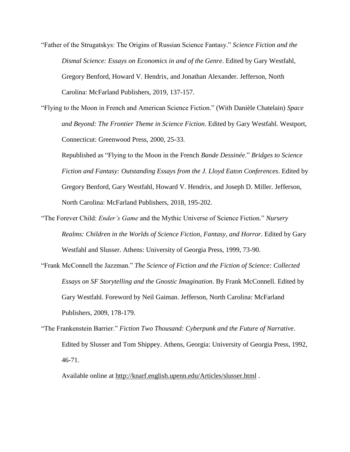"Father of the Strugatskys: The Origins of Russian Science Fantasy." *Science Fiction and the Dismal Science: Essays on Economics in and of the Genre*. Edited by Gary Westfahl, Gregory Benford, Howard V. Hendrix, and Jonathan Alexander. Jefferson, North Carolina: McFarland Publishers, 2019, 137-157.

"Flying to the Moon in French and American Science Fiction." (With Danièle Chatelain) *Space and Beyond: The Frontier Theme in Science Fiction*. Edited by Gary Westfahl. Westport, Connecticut: Greenwood Press, 2000, 25-33.

Republished as "Flying to the Moon in the French *Bande Dessinée*." *Bridges to Science Fiction and Fantasy: Outstanding Essays from the J. Lloyd Eaton Conferences*. Edited by Gregory Benford, Gary Westfahl, Howard V. Hendrix, and Joseph D. Miller. Jefferson, North Carolina: McFarland Publishers, 2018, 195-202.

- "The Forever Child: *Ender's Game* and the Mythic Universe of Science Fiction." *Nursery Realms: Children in the Worlds of Science Fiction, Fantasy, and Horror*. Edited by Gary Westfahl and Slusser. Athens: University of Georgia Press, 1999, 73-90.
- "Frank McConnell the Jazzman." *The Science of Fiction and the Fiction of Science: Collected Essays on SF Storytelling and the Gnostic Imagination*. By Frank McConnell. Edited by Gary Westfahl. Foreword by Neil Gaiman. Jefferson, North Carolina: McFarland Publishers, 2009, 178-179.
- "The Frankenstein Barrier." *Fiction Two Thousand: Cyberpunk and the Future of Narrative*. Edited by Slusser and Tom Shippey. Athens, Georgia: University of Georgia Press, 1992, 46-71.

Available online at<http://knarf.english.upenn.edu/Articles/slusser.html>.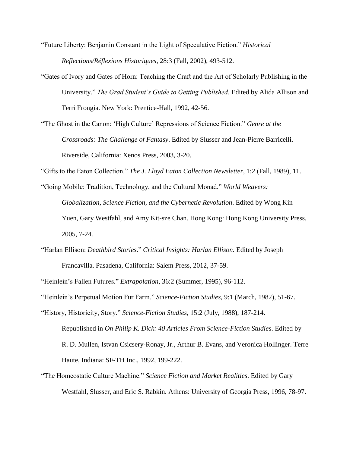"Future Liberty: Benjamin Constant in the Light of Speculative Fiction." *Historical Reflections/Réflexions Historiques*, 28:3 (Fall, 2002), 493-512.

"Gates of Ivory and Gates of Horn: Teaching the Craft and the Art of Scholarly Publishing in the University." *The Grad Student's Guide to Getting Published*. Edited by Alida Allison and Terri Frongia. New York: Prentice-Hall, 1992, 42-56.

"The Ghost in the Canon: 'High Culture' Repressions of Science Fiction." *Genre at the Crossroads: The Challenge of Fantasy*. Edited by Slusser and Jean-Pierre Barricelli. Riverside, California: Xenos Press, 2003, 3-20.

"Gifts to the Eaton Collection." *The J. Lloyd Eaton Collection Newsletter*, 1:2 (Fall, 1989), 11.

"Going Mobile: Tradition, Technology, and the Cultural Monad." *World Weavers: Globalization, Science Fiction, and the Cybernetic Revolution*. Edited by Wong Kin Yuen, Gary Westfahl, and Amy Kit-sze Chan. Hong Kong: Hong Kong University Press, 2005, 7-24.

"Harlan Ellison: *Deathbird Stories*." *Critical Insights: Harlan Ellison*. Edited by Joseph Francavilla. Pasadena, California: Salem Press, 2012, 37-59.

"Heinlein's Fallen Futures." *Extrapolation*, 36:2 (Summer, 1995), 96-112.

"Heinlein's Perpetual Motion Fur Farm." *Science-Fiction Studies*, 9:1 (March, 1982), 51-67.

"History, Historicity, Story." *Science-Fiction Studies*, 15:2 (July, 1988), 187-214. Republished in *On Philip K. Dick: 40 Articles From Science-Fiction Studies*. Edited by R. D. Mullen, Istvan Csicsery-Ronay, Jr., Arthur B. Evans, and Veronica Hollinger. Terre Haute, Indiana: SF-TH Inc., 1992, 199-222.

"The Homeostatic Culture Machine." *Science Fiction and Market Realities*. Edited by Gary Westfahl, Slusser, and Eric S. Rabkin. Athens: University of Georgia Press, 1996, 78-97.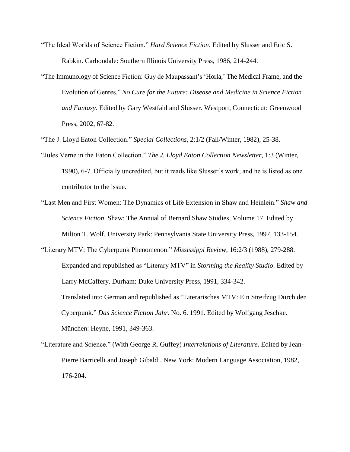- "The Ideal Worlds of Science Fiction." *Hard Science Fiction*. Edited by Slusser and Eric S. Rabkin. Carbondale: Southern Illinois University Press, 1986, 214-244.
- "The Immunology of Science Fiction: Guy de Maupassant's 'Horla,' The Medical Frame, and the Evolution of Genres." *No Cure for the Future: Disease and Medicine in Science Fiction and Fantasy*. Edited by Gary Westfahl and Slusser. Westport, Connecticut: Greenwood Press, 2002, 67-82.

"The J. Lloyd Eaton Collection." *Special Collections*, 2:1/2 (Fall/Winter, 1982), 25-38.

- "Jules Verne in the Eaton Collection." *The J. Lloyd Eaton Collection Newsletter*, 1:3 (Winter, 1990), 6-7. Officially uncredited, but it reads like Slusser's work, and he is listed as one contributor to the issue.
- "Last Men and First Women: The Dynamics of Life Extension in Shaw and Heinlein." *Shaw and Science Fiction*. Shaw: The Annual of Bernard Shaw Studies, Volume 17. Edited by Milton T. Wolf. University Park: Pennsylvania State University Press, 1997, 133-154.
- "Literary MTV: The Cyberpunk Phenomenon." *Mississippi Review*, 16:2/3 (1988), 279-288. Expanded and republished as "Literary MTV" in *Storming the Reality Studio*. Edited by Larry McCaffery. Durham: Duke University Press, 1991, 334-342. Translated into German and republished as ["Literarisches MTV: Ein Streifzug Durch den](http://sffrd.library.tamu.edu/browse/60407/)  [Cyberpunk.](http://sffrd.library.tamu.edu/browse/60407/)" *Das Science Fiction Jahr*. No. 6. 1991. Edited by Wolfgang Jeschke. München: Heyne, 1991, 349-363.
- "Literature and Science." (With George R. Guffey) *Interrelations of Literature*. Edited by Jean-Pierre Barricelli and Joseph Gibaldi. New York: Modern Language Association, 1982, 176-204.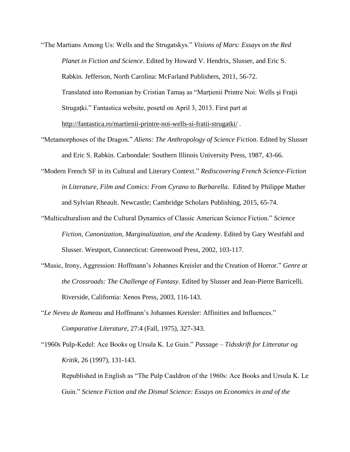- "The Martians Among Us: Wells and the Strugatskys." *Visions of Mars: Essays on the Red Planet in Fiction and Science*. Edited by Howard V. Hendrix, Slusser, and Eric S. Rabkin. Jefferson, North Carolina: McFarland Publishers, 2011, 56-72. Translated into Romanian by Cristian Tamas as "Martienii Printre Noi: Wells și Frații Strugatki." Fantastica website, posetd on April 3, 2013. First part at <http://fantastica.ro/martienii-printre-noi-wells-si-fratii-strugatki/> .
- "Metamorphoses of the Dragon." *Aliens: The Anthropology of Science Fiction*. Edited by Slusser and Eric S. Rabkin. Carbondale: Southern Illinois University Press, 1987, 43-66.
- "Modern French SF in its Cultural and Literary Context." *Rediscovering French Science-Fiction in Literature, Film and Comics: From Cyrano to Barbarella*. Edited by Philippe Mather and Sylvian Rheault. Newcastle; Cambridge Scholars Publishing, 2015, 65-74.
- "Multiculturalism and the Cultural Dynamics of Classic American Science Fiction." *Science Fiction, Canonization, Marginalization, and the Academy*. Edited by Gary Westfahl and Slusser. Westport, Connecticut: Greenwood Press, 2002, 103-117.
- "Music, Irony, Aggression: Hoffmann's Johannes Kreisler and the Creation of Horror." *Genre at the Crossroads: The Challenge of Fantasy*. Edited by Slusser and Jean-Pierre Barricelli. Riverside, California: Xenos Press, 2003, 116-143.
- "*Le Neveu de Rameau* and Hoffmann's Johannes Kreisler: Affinities and Influences." *Comparative Literature*, 27:4 (Fall, 1975), 327-343.
- "1960s Pulp-Kedel: Ace Books og Ursula K. Le Guin." *Passage – Tidsskrift for Litteratur og Kritik*, 26 (1997), 131-143.

Republished in English as "The Pulp Cauldron of the 1960s: Ace Books and Ursula K. Le Guin." *Science Fiction and the Dismal Science: Essays on Economics in and of the*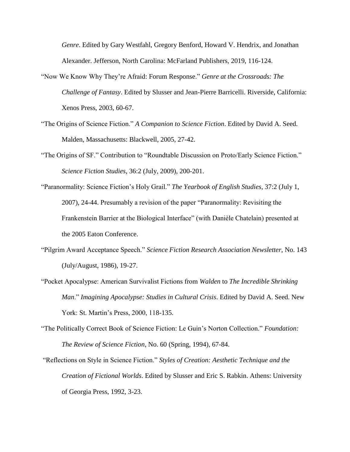*Genre*. Edited by Gary Westfahl, Gregory Benford, Howard V. Hendrix, and Jonathan Alexander. Jefferson, North Carolina: McFarland Publishers, 2019, 116-124.

- "Now We Know Why They're Afraid: Forum Response." *Genre at the Crossroads: The Challenge of Fantasy*. Edited by Slusser and Jean-Pierre Barricelli. Riverside, California: Xenos Press, 2003, 60-67.
- "The Origins of Science Fiction." *A Companion to Science Fiction*. Edited by David A. Seed. Malden, Massachusetts: Blackwell, 2005, 27-42.
- "The Origins of SF." Contribution to "Roundtable Discussion on Proto/Early Science Fiction." *Science Fiction Studies*, 36:2 (July, 2009), 200-201.
- "Paranormality: Science Fiction's Holy Grail." *The Yearbook of English Studies*, 37:2 (July 1, 2007), 24-44. Presumably a revision of the paper "Paranormality: Revisiting the Frankenstein Barrier at the Biological Interface" (with Danièle Chatelain) presented at the 2005 Eaton Conference.
- "Pilgrim Award Acceptance Speech." *Science Fiction Research Association Newsletter*, No. 143 (July/August, 1986), 19-27.
- "Pocket Apocalypse: American Survivalist Fictions from *Walden* to *The Incredible Shrinking Man*." *Imagining Apocalypse: Studies in Cultural Crisis*. Edited by David A. Seed. New York: St. Martin's Press, 2000, 118-135.
- "The Politically Correct Book of Science Fiction: Le Guin's Norton Collection." *Foundation: The Review of Science Fiction*, No. 60 (Spring, 1994), 67-84.
- "Reflections on Style in Science Fiction." *Styles of Creation: Aesthetic Technique and the Creation of Fictional Worlds*. Edited by Slusser and Eric S. Rabkin. Athens: University of Georgia Press, 1992, 3-23.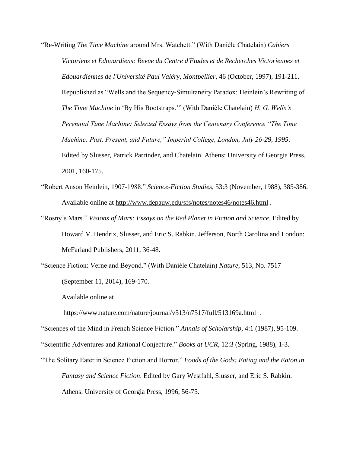"Re-Writing *The Time Machine* around Mrs. Watchett." (With Danièle Chatelain) *Cahiers Victoriens et Edouardiens: Revue du Centre d'Etudes et de Recherches Victoriennes et Edouardiennes de l'Université Paul Valéry, Montpellier*, 46 (October, 1997), 191-211. Republished as "Wells and the Sequency-Simultaneity Paradox: Heinlein's Rewriting of *The Time Machine* in 'By His Bootstraps.'" (With Danièle Chatelain) *H. G. Wells's Perennial Time Machine: Selected Essays from the Centenary Conference "The Time Machine: Past, Present, and Future," Imperial College, London, July 26-29, 1995*. Edited by Slusser, Patrick Parrinder, and Chatelain. Athens: University of Georgia Press, 2001, 160-175.

- "Robert Anson Heinlein, 1907-1988." *Science-Fiction Studies*, 53:3 (November, 1988), 385-386. Available online at<http://www.depauw.edu/sfs/notes/notes46/notes46.html> .
- "Rosny's Mars." *Visions of Mars: Essays on the Red Planet in Fiction and Science*. Edited by Howard V. Hendrix, Slusser, and Eric S. Rabkin. Jefferson, North Carolina and London: McFarland Publishers, 2011, 36-48.

"Science Fiction: Verne and Beyond." (With Danièle Chatelain) *Nature*, 513, No. 7517 (September 11, 2014), 169-170.

Available online at

<https://www.nature.com/nature/journal/v513/n7517/full/513169a.html>.

"Sciences of the Mind in French Science Fiction." *Annals of Scholarship*, 4:1 (1987), 95-109.

"Scientific Adventures and Rational Conjecture." *Books at UCR*, 12:3 (Spring, 1988), 1-3.

"The Solitary Eater in Science Fiction and Horror." *Foods of the Gods: Eating and the Eaton in Fantasy and Science Fiction*. Edited by Gary Westfahl, Slusser, and Eric S. Rabkin. Athens: University of Georgia Press, 1996, 56-75.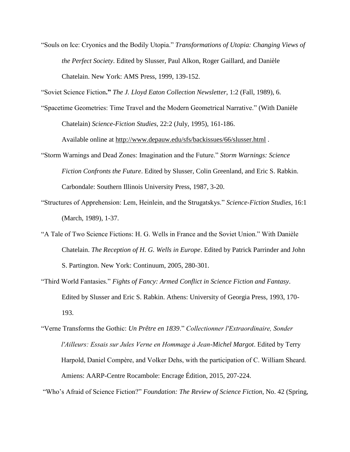"Souls on Ice: Cryonics and the Bodily Utopia." *Transformations of Utopia: Changing Views of the Perfect Society*. Edited by Slusser, Paul Alkon, Roger Gaillard, and Danièle Chatelain. New York: AMS Press, 1999, 139-152.

"Soviet Science Fiction**."** *The J. Lloyd Eaton Collection Newsletter*, 1:2 (Fall, 1989), 6.

"Spacetime Geometries: Time Travel and the Modern Geometrical Narrative." (With Danièle Chatelain) *Science-Fiction Studies*, 22:2 (July, 1995), 161-186.

Available online at<http://www.depauw.edu/sfs/backissues/66/slusser.html> .

- "Storm Warnings and Dead Zones: Imagination and the Future." *Storm Warnings: Science Fiction Confronts the Future*. Edited by Slusser, Colin Greenland, and Eric S. Rabkin. Carbondale: Southern Illinois University Press, 1987, 3-20.
- "Structures of Apprehension: Lem, Heinlein, and the Strugatskys." *Science-Fiction Studies*, 16:1 (March, 1989), 1-37.
- "A Tale of Two Science Fictions: H. G. Wells in France and the Soviet Union." With Danièle Chatelain. *The Reception of H. G. Wells in Europe*. Edited by Patrick Parrinder and John S. Partington. New York: Continuum, 2005, 280-301.
- "Third World Fantasies." *Fights of Fancy: Armed Conflict in Science Fiction and Fantasy*. Edited by Slusser and Eric S. Rabkin. Athens: University of Georgia Press, 1993, 170- 193.

"Who's Afraid of Science Fiction?" *Foundation: The Review of Science Fiction*, No. 42 (Spring,

<sup>&</sup>quot;Verne Transforms the Gothic: *Un Prêtre en 1839*." *Collectionner l'Extraordinaire, Sonder l'Ailleurs: Essais sur Jules Verne en Hommage à Jean-Michel Margot*. Edited by Terry Harpold, Daniel Compère, and Volker Dehs, with the participation of C. William Sheard. Amiens: AARP-Centre Rocambole: Encrage Édition, 2015, 207-224.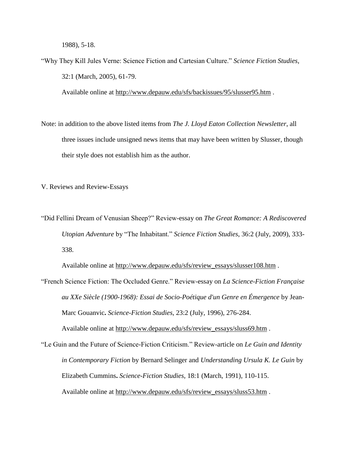1988), 5-18.

"Why They Kill Jules Verne: Science Fiction and Cartesian Culture." *Science Fiction Studies*, 32:1 (March, 2005), 61-79.

Available online at<http://www.depauw.edu/sfs/backissues/95/slusser95.htm>.

Note: in addition to the above listed items from *The J. Lloyd Eaton Collection Newsletter*, all three issues include unsigned news items that may have been written by Slusser, though their style does not establish him as the author.

V. Reviews and Review-Essays

"Did Fellini Dream of Venusian Sheep?" Review-essay on *The Great Romance: A Rediscovered Utopian Adventure* by "The Inhabitant." *Science Fiction Studies*, 36:2 (July, 2009), 333- 338.

Available online at [http://www.depauw.edu/sfs/review\\_essays/slusser108.htm](http://www.depauw.edu/sfs/review_essays/slusser108.htm) .

"French Science Fiction: The Occluded Genre." Review-essay on *La Science-Fiction Française au XXe Siècle (1900-1968): Essai de Socio-Poétique d'un Genre en Émergence* by Jean-Marc Gouanvic**.** *Science-Fiction Studies*, 23:2 (July, 1996), 276-284.

Available online at [http://www.depauw.edu/sfs/review\\_essays/sluss69.htm](http://www.depauw.edu/sfs/review_essays/sluss69.htm) .

"Le Guin and the Future of Science-Fiction Criticism." Review-article on *Le Guin and Identity in Contemporary Fiction* by Bernard Selinger and *Understanding Ursula K. Le Guin* by Elizabeth Cummins**.** *Science-Fiction Studies*, 18:1 (March, 1991), 110-115. Available online at [http://www.depauw.edu/sfs/review\\_essays/sluss53.htm](http://www.depauw.edu/sfs/review_essays/sluss53.htm) .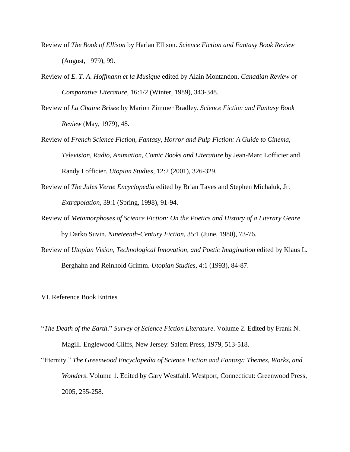- Review of *The Book of Ellison* by Harlan Ellison. *Science Fiction and Fantasy Book Review*  (August, 1979), 99.
- Review of *E. T. A. Hoffmann et la Musique* edited by Alain Montandon. *Canadian Review of Comparative Literature*, 16:1/2 (Winter, 1989), 343-348.
- Review of *La Chaine Brisee* by Marion Zimmer Bradley. *Science Fiction and Fantasy Book Review* (May, 1979), 48.
- Review of *French Science Fiction, Fantasy, Horror and Pulp Fiction: A Guide to Cinema, Television, Radio, Animation, Comic Books and Literature* by Jean-Marc Lofficier and Randy Lofficier. *Utopian Studies*, 12:2 (2001), 326-329.
- Review of *The Jules Verne Encyclopedia* edited by Brian Taves and Stephen Michaluk, Jr. *Extrapolation*, 39:1 (Spring, 1998), 91-94.
- Review of *Metamorphoses of Science Fiction: On the Poetics and History of a Literary Genre* by Darko Suvin. *Nineteenth-Century Fiction*, 35:1 (June, 1980), 73-76.
- Review of *Utopian Vision, Technological Innovation, and Poetic Imagination* edited by Klaus L. Berghahn and Reinhold Grimm. *Utopian Studies*, 4:1 (1993), 84-87.

VI. Reference Book Entries

- "*The Death of the Earth*." *Survey of Science Fiction Literature*. Volume 2. Edited by Frank N. Magill. Englewood Cliffs, New Jersey: Salem Press, 1979, 513-518.
- "Eternity." *The Greenwood Encyclopedia of Science Fiction and Fantasy: Themes, Works, and Wonders*. Volume 1. Edited by Gary Westfahl. Westport, Connecticut: Greenwood Press, 2005, 255-258.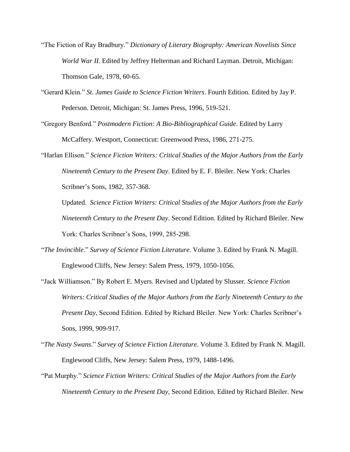- "The Fiction of Ray Bradbury." *Dictionary of Literary Biography: American Novelists Since World War II*. Edited by Jeffrey Helterman and Richard Layman. Detroit, Michigan: Thomson Gale, 1978, 60-65.
- "Gerard Klein." *St. James Guide to Science Fiction Writers*. Fourth Edition. Edited by Jay P. Pederson. Detroit, Michigan: St. James Press, 1996, 519-521.
- "Gregory Benford." *Postmodern Fiction: A Bio-Bibliographical Guide*. Edited by Larry McCaffery. Westport, Connecticut: Greenwood Press, 1986, 271-275.
- "Harlan Ellison." *Science Fiction Writers: Critical Studies of the Major Authors from the Early Nineteenth Century to the Present Day*. Edited by E. F. Bleiler. New York: Charles Scribner's Sons, 1982, 357-368.
	- Updated. *Science Fiction Writers: Critical Studies of the Major Authors from the Early Nineteenth Century to the Present Day*. Second Edition. Edited by Richard Bleiler. New York: Charles Scribner's Sons, 1999, 285-298.
- "*The Invincible*." *Survey of Science Fiction Literature*. Volume 3. Edited by Frank N. Magill. Englewood Cliffs, New Jersey: Salem Press, 1979, 1050-1056.
- "Jack Williamson." By Robert E. Myers. Revised and Updated by Slusser. *Science Fiction Writers: Critical Studies of the Major Authors from the Early Nineteenth Century to the Present Day*, Second Edition. Edited by Richard Bleiler. New York: Charles Scribner's Sons, 1999, 909-917.
- "*The Nasty Swans*." *Survey of Science Fiction Literature*. Volume 3. Edited by Frank N. Magill. Englewood Cliffs, New Jersey: Salem Press, 1979, 1488-1496.
- "Pat Murphy." *Science Fiction Writers: Critical Studies of the Major Authors from the Early Nineteenth Century to the Present Day*, Second Edition. Edited by Richard Bleiler. New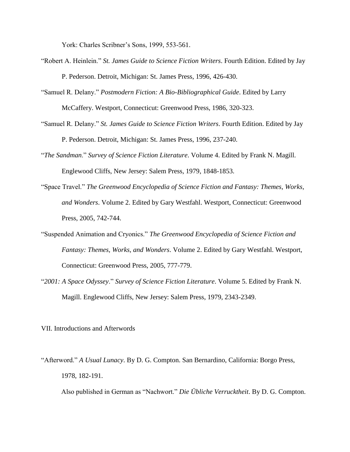York: Charles Scribner's Sons, 1999, 553-561.

- "Robert A. Heinlein." *St. James Guide to Science Fiction Writers*. Fourth Edition. Edited by Jay P. Pederson. Detroit, Michigan: St. James Press, 1996, 426-430.
- "Samuel R. Delany." *Postmodern Fiction: A Bio-Bibliographical Guide*. Edited by Larry McCaffery. Westport, Connecticut: Greenwood Press, 1986, 320-323.
- "Samuel R. Delany." *St. James Guide to Science Fiction Writers*. Fourth Edition. Edited by Jay P. Pederson. Detroit, Michigan: St. James Press, 1996, 237-240.
- "*The Sandman*." *Survey of Science Fiction Literature*. Volume 4. Edited by Frank N. Magill. Englewood Cliffs, New Jersey: Salem Press, 1979, 1848-1853.
- "Space Travel." *The Greenwood Encyclopedia of Science Fiction and Fantasy: Themes, Works, and Wonders*. Volume 2. Edited by Gary Westfahl. Westport, Connecticut: Greenwood Press, 2005, 742-744.
- "Suspended Animation and Cryonics." *The Greenwood Encyclopedia of Science Fiction and Fantasy: Themes, Works, and Wonders*. Volume 2. Edited by Gary Westfahl. Westport, Connecticut: Greenwood Press, 2005, 777-779.
- "*2001: A Space Odyssey*." *Survey of Science Fiction Literature*. Volume 5. Edited by Frank N. Magill. Englewood Cliffs, New Jersey: Salem Press, 1979, 2343-2349.

VII. Introductions and Afterwords

"Afterword." *A Usual Lunacy*. By D. G. Compton. San Bernardino, California: Borgo Press, 1978, 182-191.

Also published in German as "Nachwort." *Die Übliche Verrucktheit*. By D. G. Compton.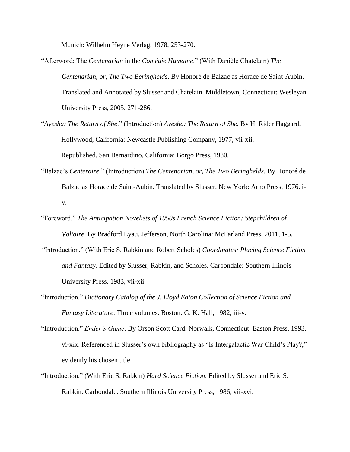Munich: Wilhelm Heyne Verlag, 1978, 253-270.

- "Afterword: The *Centenarian* in the *Comédie Humaine*." (With Danièle Chatelain) *The Centenarian, or, The Two Beringhelds*. By Honoré de Balzac as Horace de Saint-Aubin. Translated and Annotated by Slusser and Chatelain. Middletown, Connecticut: Wesleyan University Press, 2005, 271-286.
- "*Ayesha: The Return of She*." (Introduction) *Ayesha: The Return of She.* By H. Rider Haggard. Hollywood, California: Newcastle Publishing Company, 1977, vii-xii. Republished. San Bernardino, California: Borgo Press, 1980.
- "Balzac's *Centeraire*." (Introduction) *The Centenarian, or, The Two Beringhelds*. By Honoré de Balzac as Horace de Saint-Aubin. Translated by Slusser. New York: Arno Press, 1976. iv.
- "Foreword." *The Anticipation Novelists of 1950s French Science Fiction: Stepchildren of Voltaire*. By Bradford Lyau. Jefferson, North Carolina: McFarland Press, 2011, 1-5.
- *"*Introduction." (With Eric S. Rabkin and Robert Scholes) *Coordinates: Placing Science Fiction and Fantasy*. Edited by Slusser, Rabkin, and Scholes. Carbondale: Southern Illinois University Press, 1983, vii-xii.
- "Introduction." *Dictionary Catalog of the J. Lloyd Eaton Collection of Science Fiction and Fantasy Literature*. Three volumes. Boston: G. K. Hall, 1982, iii-v.
- "Introduction." *Ender's Game*. By Orson Scott Card. Norwalk, Connecticut: Easton Press, 1993, vi-xix. Referenced in Slusser's own bibliography as "Is Intergalactic War Child's Play?," evidently his chosen title.
- "Introduction." (With Eric S. Rabkin) *Hard Science Fiction*. Edited by Slusser and Eric S. Rabkin. Carbondale: Southern Illinois University Press, 1986, vii-xvi.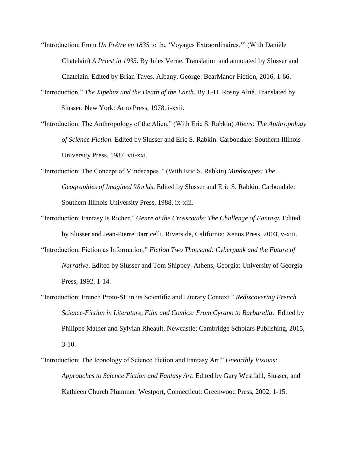- "Introduction: From *Un Prêtre en 1835* to the 'Voyages Extraordinaires.'" (With Danièle Chatelain) *A Priest in 1935*. By Jules Verne. Translation and annotated by Slusser and Chatelain. Edited by Brian Taves. Albany, George: BearManor Fiction, 2016, 1-66.
- "Introduction." *The Xipehuz and the Death of the Earth*. By J.-H. Rosny Aîné. Translated by Slusser. New York: Arno Press, 1978, i-xxii.
- "Introduction: The Anthropology of the Alien." (With Eric S. Rabkin) *Aliens: The Anthropology of Science Fiction*. Edited by Slusser and Eric S. Rabkin. Carbondale: Southern Illinois University Press, 1987, vii-xxi.
- "Introduction: The Concept of Mindscapes*."* (With Eric S. Rabkin) *Mindscapes: The Geographies of Imagined Worlds*. Edited by Slusser and Eric S. Rabkin. Carbondale: Southern Illinois University Press, 1988, ix-xiii.
- "Introduction: Fantasy Is Richer." *Genre at the Crossroads: The Challenge of Fantasy*. Edited by Slusser and Jean-Pierre Barricelli. Riverside, California: Xenos Press, 2003, v-xiii.
- "Introduction: Fiction as Information." *Fiction Two Thousand: Cyberpunk and the Future of Narrative*. Edited by Slusser and Tom Shippey. Athens, Georgia: University of Georgia Press, 1992, 1-14.
- "Introduction: French Proto-SF in its Scientific and Literary Context." *Rediscovering French Science-Fiction in Literature, Film and Comics: From Cyrano to Barbarella*. Edited by Philippe Mather and Sylvian Rheault. Newcastle; Cambridge Scholars Publishing, 2015, 3-10.
- "Introduction: The Iconology of Science Fiction and Fantasy Art." *Unearthly Visions: Approaches to Science Fiction and Fantasy Art*. Edited by Gary Westfahl, Slusser, and Kathleen Church Plummer. Westport, Connecticut: Greenwood Press, 2002, 1-15.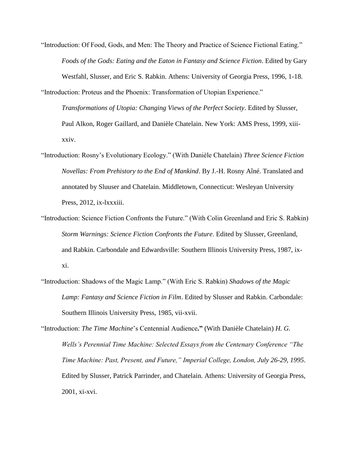"Introduction: Of Food, Gods, and Men: The Theory and Practice of Science Fictional Eating." *Foods of the Gods: Eating and the Eaton in Fantasy and Science Fiction*. Edited by Gary Westfahl, Slusser, and Eric S. Rabkin. Athens: University of Georgia Press, 1996, 1-18.

"Introduction: Proteus and the Phoenix: Transformation of Utopian Experience." *Transformations of Utopia: Changing Views of the Perfect Society*. Edited by Slusser, Paul Alkon, Roger Gaillard, and Danièle Chatelain. New York: AMS Press, 1999, xiiixxiv.

- "Introduction: Rosny's Evolutionary Ecology." (With Danièle Chatelain) *Three Science Fiction Novellas: From Prehistory to the End of Mankind*. By J.-H. Rosny Aîné. Translated and annotated by Sluuser and Chatelain. Middletown, Connecticut: Wesleyan University Press, 2012, ix-lxxxiii.
- "Introduction: Science Fiction Confronts the Future." (With Colin Greenland and Eric S. Rabkin) *Storm Warnings: Science Fiction Confronts the Future*. Edited by Slusser, Greenland, and Rabkin. Carbondale and Edwardsville: Southern Illinois University Press, 1987, ixxi.
- "Introduction: Shadows of the Magic Lamp." (With Eric S. Rabkin) *Shadows of the Magic Lamp: Fantasy and Science Fiction in Film*. Edited by Slusser and Rabkin. Carbondale: Southern Illinois University Press, 1985, vii-xvii.

"Introduction: *The Time Machine*'s Centennial Audience**."** (With Danièle Chatelain) *H. G. Wells's Perennial Time Machine: Selected Essays from the Centenary Conference "The Time Machine: Past, Present, and Future," Imperial College, London, July 26-29, 1995*. Edited by Slusser, Patrick Parrinder, and Chatelain. Athens: University of Georgia Press, 2001, xi-xvi.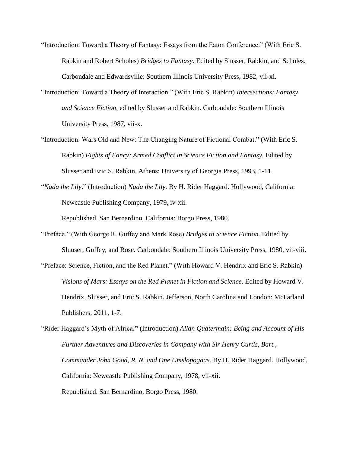- "Introduction: Toward a Theory of Fantasy: Essays from the Eaton Conference." (With Eric S. Rabkin and Robert Scholes) *Bridges to Fantasy*. Edited by Slusser, Rabkin, and Scholes. Carbondale and Edwardsville: Southern Illinois University Press, 1982, vii-xi.
- "Introduction: Toward a Theory of Interaction." (With Eric S. Rabkin) *Intersections: Fantasy and Science Fiction*, edited by Slusser and Rabkin. Carbondale: Southern Illinois University Press, 1987, vii-x.
- "Introduction: Wars Old and New: The Changing Nature of Fictional Combat." (With Eric S. Rabkin) *Fights of Fancy: Armed Conflict in Science Fiction and Fantasy*. Edited by Slusser and Eric S. Rabkin. Athens: University of Georgia Press, 1993, 1-11.
- "*Nada the Lily*." (Introduction) *Nada the Lily.* By H. Rider Haggard. Hollywood, California: Newcastle Publishing Company, 1979, iv-xii.

Republished. San Bernardino, California: Borgo Press, 1980.

- "Preface." (With George R. Guffey and Mark Rose) *Bridges to Science Fiction*. Edited by Sluuser, Guffey, and Rose. Carbondale: Southern Illinois University Press, 1980, vii-viii.
- "Preface: Science, Fiction, and the Red Planet." (With Howard V. Hendrix and Eric S. Rabkin) *Visions of Mars: Essays on the Red Planet in Fiction and Science*. Edited by Howard V. Hendrix, Slusser, and Eric S. Rabkin. Jefferson, North Carolina and London: McFarland Publishers, 2011, 1-7.
- "Rider Haggard's Myth of Africa**."** (Introduction) *Allan Quatermain: Being and Account of His Further Adventures and Discoveries in Company with Sir Henry Curtis, Bart., Commander John Good, R. N. and One Umslopogaas*. By H. Rider Haggard. Hollywood, California: Newcastle Publishing Company, 1978, vii-xii. Republished. San Bernardino, Borgo Press, 1980.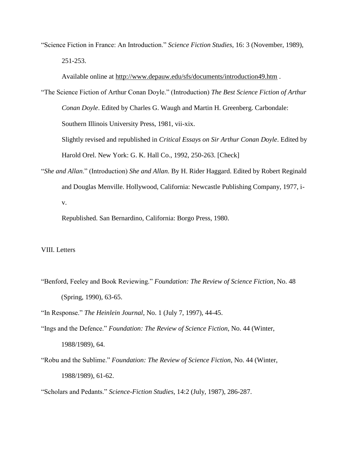"Science Fiction in France: An Introduction." *Science Fiction Studies*, 16: 3 (November, 1989), 251-253.

Available online at<http://www.depauw.edu/sfs/documents/introduction49.htm> .

"The Science Fiction of Arthur Conan Doyle." (Introduction) *The Best Science Fiction of Arthur Conan Doyle*. Edited by Charles G. Waugh and Martin H. Greenberg. Carbondale: Southern Illinois University Press, 1981, vii-xix. Slightly revised and republished in *Critical Essays on Sir Arthur Conan Doyle*. Edited by

Harold Orel. New York: G. K. Hall Co., 1992, 250-263. [Check]

"*She and Allan*." (Introduction) *She and Allan*. By H. Rider Haggard. Edited by Robert Reginald and Douglas Menville. Hollywood, California: Newcastle Publishing Company, 1977, iv.

Republished. San Bernardino, California: Borgo Press, 1980.

## VIII. Letters

"Benford, Feeley and Book Reviewing." *Foundation: The Review of Science Fiction*, No. 48 (Spring, 1990), 63-65.

"In Response." *The Heinlein Journal*, No. 1 (July 7, 1997), 44-45.

- "Ings and the Defence." *Foundation: The Review of Science Fiction*, No. 44 (Winter, 1988/1989), 64.
- "Robu and the Sublime." *Foundation: The Review of Science Fiction*, No. 44 (Winter, 1988/1989), 61-62.

"Scholars and Pedants." *Science-Fiction Studies*, 14:2 (July, 1987), 286-287.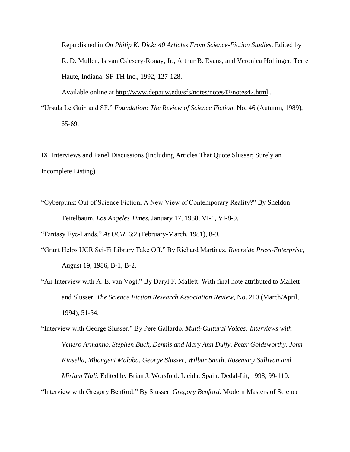Republished in *On Philip K. Dick: 40 Articles From Science-Fiction Studies*. Edited by R. D. Mullen, Istvan Csicsery-Ronay, Jr., Arthur B. Evans, and Veronica Hollinger. Terre Haute, Indiana: SF-TH Inc., 1992, 127-128.

Available online at<http://www.depauw.edu/sfs/notes/notes42/notes42.html> .

"Ursula Le Guin and SF." *Foundation: The Review of Science Fiction*, No. 46 (Autumn, 1989), 65-69.

IX. Interviews and Panel Discussions (Including Articles That Quote Slusser; Surely an Incomplete Listing)

"Cyberpunk: Out of Science Fiction, A New View of Contemporary Reality?" By Sheldon Teitelbaum. *Los Angeles Times*, January 17, 1988, VI-1, VI-8-9.

"Fantasy Eye-Lands." *At UCR*, 6:2 (February-March, 1981), 8-9.

- "Grant Helps UCR Sci-Fi Library Take Off." By Richard Martinez. *Riverside Press-Enterprise*, August 19, 1986, B-1, B-2.
- "An Interview with A. E. van Vogt." By Daryl F. Mallett. With final note attributed to Mallett and Slusser. *The Science Fiction Research Association Review*, No. 210 (March/April, 1994), 51-54.

"Interview with George Slusser." By Pere Gallardo. *Multi-Cultural Voices: Interviews with Venero Armanno, Stephen Buck, Dennis and Mary Ann Duffy, Peter Goldsworthy, John Kinsella, Mbongeni Malaba, George Slusser, Wilbur Smith, Rosemary Sullivan and Miriam Tlali*. Edited by Brian J. Worsfold. Lleida, Spain: Dedal-Lit, 1998, 99-110.

"Interview with Gregory Benford." By Slusser. *Gregory Benford*. Modern Masters of Science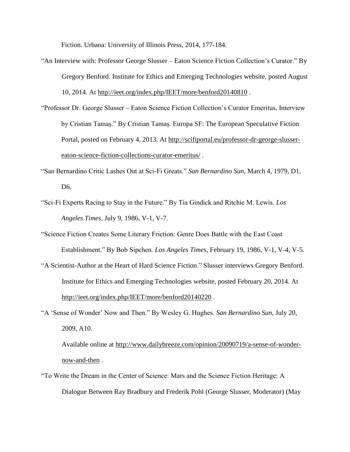Fiction. Urbana: University of Illinois Press, 2014, 177-184.

- "An Interview with: Professor George Slusser Eaton Science Fiction Collection's Curator." By Gregory Benford. Institute for Ethics and Emerging Technologies website, posted August 10, 2014. At<http://ieet.org/index.php/IEET/more/benford20140810> .
- "Professor Dr. George Slusser Eaton Science Fiction Collection's Curator Emeritus, Interview by Cristian Tamaș." By Cristian Tamaș. Europa SF: The European Speculative Fiction Portal, posted on February 4, 2013. At [http://scifiportal.eu/professor-dr-george-slusser](http://scifiportal.eu/professor-dr-george-slusser-eaton-science-fiction-collections-curator-emeritus/)[eaton-science-fiction-collections-curator-emeritus/](http://scifiportal.eu/professor-dr-george-slusser-eaton-science-fiction-collections-curator-emeritus/) .
- "San Bernardino Critic Lashes Out at Sci-Fi Greats." *San Bernardino Sun*, March 4, 1979, D1, D6.
- "Sci-Fi Experts Racing to Stay in the Future." By Tia Gindick and Ritchie M. Lewis. *Los Angeles Times*, July 9, 1986, V-1, V-7.
- "Science Fiction Creates Some Literary Friction: Genre Does Battle with the East Coast Establishment." By Bob Sipchen. *Los Angeles Times*, February 19, 1986, V-1, V-4, V-5.
- "A Scientist-Author at the Heart of Hard Science Fiction." Slusser interviews Gregory Benford. Institute for Ethics and Emerging Technologies website, posted February 20, 2014. At <http://ieet.org/index.php/IEET/more/benford20140220>.
- "A 'Sense of Wonder' Now and Then." By Wesley G. Hughes. *San Bernardino Sun*, July 20, 2009, A10.

Available online at [http://www.dailybreeze.com/opinion/20090719/a-sense-of-wonder](http://www.dailybreeze.com/opinion/20090719/a-sense-of-wonder-now-and-then)[now-and-then](http://www.dailybreeze.com/opinion/20090719/a-sense-of-wonder-now-and-then) .

"To Write the Dream in the Center of Science: Mars and the Science Fiction Heritage: A Dialogue Between Ray Bradbury and Frederik Pohl (George Slusser, Moderator) (May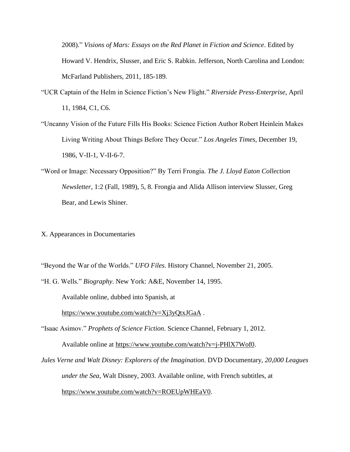2008)." *Visions of Mars: Essays on the Red Planet in Fiction and Science*. Edited by Howard V. Hendrix, Slusser, and Eric S. Rabkin. Jefferson, North Carolina and London: McFarland Publishers, 2011, 185-189.

- "UCR Captain of the Helm in Science Fiction's New Flight." *Riverside Press-Enterprise*, April 11, 1984, C1, C6.
- "Uncanny Vision of the Future Fills His Books: Science Fiction Author Robert Heinlein Makes Living Writing About Things Before They Occur." *Los Angeles Times*, December 19, 1986, V-II-1, V-II-6-7.
- "Word or Image: Necessary Opposition?" By Terri Frongia. *The J. Lloyd Eaton Collection Newsletter*, 1:2 (Fall, 1989), 5, 8. Frongia and Alida Allison interview Slusser, Greg Bear, and Lewis Shiner.
- X. Appearances in Documentaries

"Beyond the War of the Worlds." *UFO Files*. History Channel, November 21, 2005.

"H. G. Wells." *Biography*. New York: A&E, November 14, 1995.

Available online, dubbed into Spanish, at

<https://www.youtube.com/watch?v=Xj3yQtxJGaA> .

"Isaac Asimov." *Prophets of Science Fiction*. Science Channel, February 1, 2012.

Available online at [https://www.youtube.com/watch?v=j-PHlX7Wof0.](https://www.youtube.com/watch?v=j-PHlX7Wof0)

*Jules Verne and Walt Disney: Explorers of the Imagination*. DVD Documentary, *20,000 Leagues under the Sea*, Walt Disney, 2003. Available online, with French subtitles, at [https://www.youtube.com/watch?v=ROEUpWHEaV0.](https://www.youtube.com/watch?v=ROEUpWHEaV0)